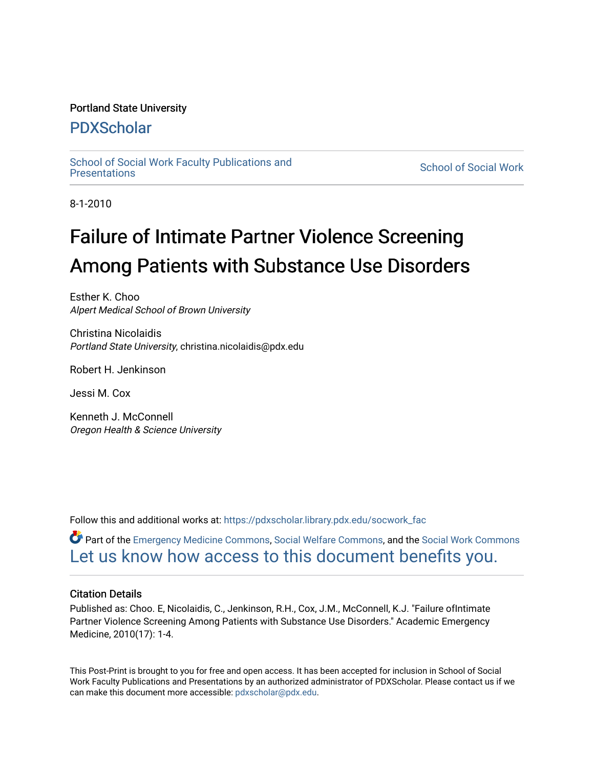# Portland State University

# [PDXScholar](https://pdxscholar.library.pdx.edu/)

School of Social Work Faculty Publications and<br>Presentations

**School of Social Work** 

8-1-2010

# Failure of Intimate Partner Violence Screening Among Patients with Substance Use Disorders

Esther K. Choo Alpert Medical School of Brown University

Christina Nicolaidis Portland State University, christina.nicolaidis@pdx.edu

Robert H. Jenkinson

Jessi M. Cox

Kenneth J. McConnell Oregon Health & Science University

Follow this and additional works at: [https://pdxscholar.library.pdx.edu/socwork\\_fac](https://pdxscholar.library.pdx.edu/socwork_fac?utm_source=pdxscholar.library.pdx.edu%2Fsocwork_fac%2F75&utm_medium=PDF&utm_campaign=PDFCoverPages) 

Part of the [Emergency Medicine Commons](http://network.bepress.com/hgg/discipline/685?utm_source=pdxscholar.library.pdx.edu%2Fsocwork_fac%2F75&utm_medium=PDF&utm_campaign=PDFCoverPages), [Social Welfare Commons,](http://network.bepress.com/hgg/discipline/401?utm_source=pdxscholar.library.pdx.edu%2Fsocwork_fac%2F75&utm_medium=PDF&utm_campaign=PDFCoverPages) and the [Social Work Commons](http://network.bepress.com/hgg/discipline/713?utm_source=pdxscholar.library.pdx.edu%2Fsocwork_fac%2F75&utm_medium=PDF&utm_campaign=PDFCoverPages) [Let us know how access to this document benefits you.](http://library.pdx.edu/services/pdxscholar-services/pdxscholar-feedback/?ref=https://pdxscholar.library.pdx.edu/socwork_fac/75) 

# Citation Details

Published as: Choo. E, Nicolaidis, C., Jenkinson, R.H., Cox, J.M., McConnell, K.J. "Failure ofIntimate Partner Violence Screening Among Patients with Substance Use Disorders." Academic Emergency Medicine, 2010(17): 1-4.

This Post-Print is brought to you for free and open access. It has been accepted for inclusion in School of Social Work Faculty Publications and Presentations by an authorized administrator of PDXScholar. Please contact us if we can make this document more accessible: [pdxscholar@pdx.edu.](mailto:pdxscholar@pdx.edu)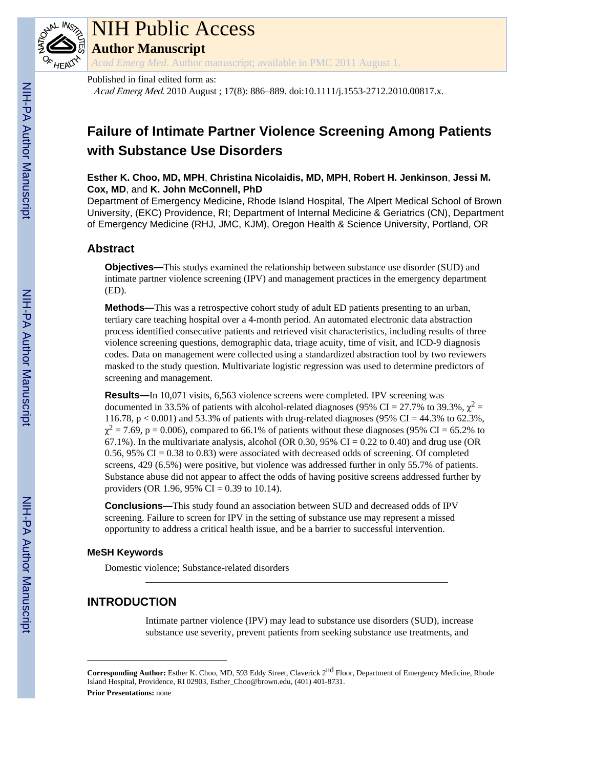# **Failure of Intimate Partner Violence Screening Among Patients with Substance Use Disorders**

# **Esther K. Choo, MD, MPH**, **Christina Nicolaidis, MD, MPH**, **Robert H. Jenkinson**, **Jessi M. Cox, MD**, and **K. John McConnell, PhD**

Department of Emergency Medicine, Rhode Island Hospital, The Alpert Medical School of Brown University, (EKC) Providence, RI; Department of Internal Medicine & Geriatrics (CN), Department of Emergency Medicine (RHJ, JMC, KJM), Oregon Health & Science University, Portland, OR

# **Abstract**

**Objectives—**This studys examined the relationship between substance use disorder (SUD) and intimate partner violence screening (IPV) and management practices in the emergency department (ED).

**Methods—**This was a retrospective cohort study of adult ED patients presenting to an urban, tertiary care teaching hospital over a 4-month period. An automated electronic data abstraction process identified consecutive patients and retrieved visit characteristics, including results of three violence screening questions, demographic data, triage acuity, time of visit, and ICD-9 diagnosis codes. Data on management were collected using a standardized abstraction tool by two reviewers masked to the study question. Multivariate logistic regression was used to determine predictors of screening and management.

**Results—**In 10,071 visits, 6,563 violence screens were completed. IPV screening was documented in 33.5% of patients with alcohol-related diagnoses (95% CI = 27.7% to 39.3%,  $\chi^2$  = 116.78, p < 0.001) and 53.3% of patients with drug-related diagnoses (95% CI = 44.3% to 62.3%,  $\chi^2$  = 7.69, p = 0.006), compared to 66.1% of patients without these diagnoses (95% CI = 65.2% to 67.1%). In the multivariate analysis, alcohol (OR 0.30, 95% CI = 0.22 to 0.40) and drug use (OR 0.56, 95% CI = 0.38 to 0.83) were associated with decreased odds of screening. Of completed screens, 429 (6.5%) were positive, but violence was addressed further in only 55.7% of patients. Substance abuse did not appear to affect the odds of having positive screens addressed further by providers (OR 1.96, 95% CI = 0.39 to 10.14).

**Conclusions—**This study found an association between SUD and decreased odds of IPV screening. Failure to screen for IPV in the setting of substance use may represent a missed opportunity to address a critical health issue, and be a barrier to successful intervention.

# **MeSH Keywords**

Domestic violence; Substance-related disorders

# **INTRODUCTION**

Intimate partner violence (IPV) may lead to substance use disorders (SUD), increase substance use severity, prevent patients from seeking substance use treatments, and

**Corresponding Author:** Esther K. Choo, MD, 593 Eddy Street, Claverick 2nd Floor, Department of Emergency Medicine, Rhode Island Hospital, Providence, RI 02903, Esther\_Choo@brown.edu, (401) 401-8731.

**Prior Presentations:** none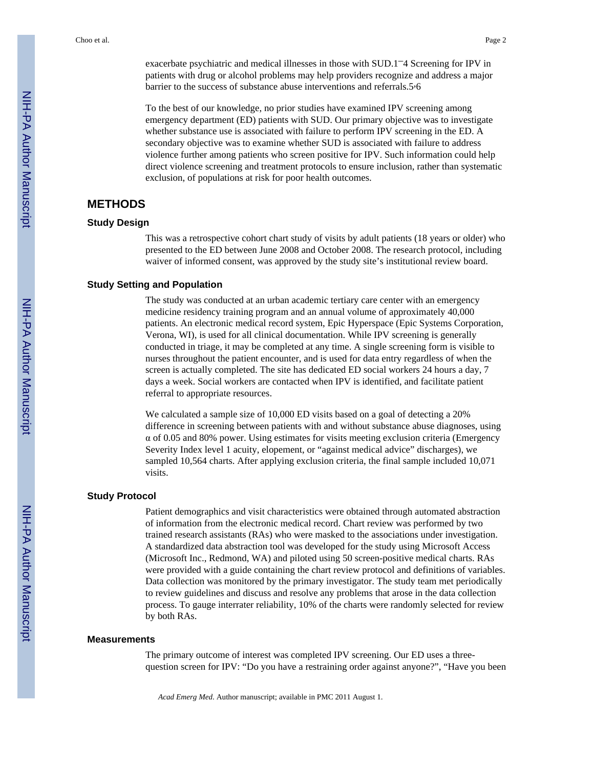exacerbate psychiatric and medical illnesses in those with SUD.1–4 Screening for IPV in patients with drug or alcohol problems may help providers recognize and address a major barrier to the success of substance abuse interventions and referrals.5,6

To the best of our knowledge, no prior studies have examined IPV screening among emergency department (ED) patients with SUD. Our primary objective was to investigate whether substance use is associated with failure to perform IPV screening in the ED. A secondary objective was to examine whether SUD is associated with failure to address violence further among patients who screen positive for IPV. Such information could help direct violence screening and treatment protocols to ensure inclusion, rather than systematic exclusion, of populations at risk for poor health outcomes.

# **METHODS**

#### **Study Design**

This was a retrospective cohort chart study of visits by adult patients (18 years or older) who presented to the ED between June 2008 and October 2008. The research protocol, including waiver of informed consent, was approved by the study site's institutional review board.

#### **Study Setting and Population**

The study was conducted at an urban academic tertiary care center with an emergency medicine residency training program and an annual volume of approximately 40,000 patients. An electronic medical record system, Epic Hyperspace (Epic Systems Corporation, Verona, WI), is used for all clinical documentation. While IPV screening is generally conducted in triage, it may be completed at any time. A single screening form is visible to nurses throughout the patient encounter, and is used for data entry regardless of when the screen is actually completed. The site has dedicated ED social workers 24 hours a day, 7 days a week. Social workers are contacted when IPV is identified, and facilitate patient referral to appropriate resources.

We calculated a sample size of 10,000 ED visits based on a goal of detecting a 20% difference in screening between patients with and without substance abuse diagnoses, using  $\alpha$  of 0.05 and 80% power. Using estimates for visits meeting exclusion criteria (Emergency Severity Index level 1 acuity, elopement, or "against medical advice" discharges), we sampled 10,564 charts. After applying exclusion criteria, the final sample included 10,071 visits.

#### **Study Protocol**

Patient demographics and visit characteristics were obtained through automated abstraction of information from the electronic medical record. Chart review was performed by two trained research assistants (RAs) who were masked to the associations under investigation. A standardized data abstraction tool was developed for the study using Microsoft Access (Microsoft Inc., Redmond, WA) and piloted using 50 screen-positive medical charts. RAs were provided with a guide containing the chart review protocol and definitions of variables. Data collection was monitored by the primary investigator. The study team met periodically to review guidelines and discuss and resolve any problems that arose in the data collection process. To gauge interrater reliability, 10% of the charts were randomly selected for review by both RAs.

#### **Measurements**

The primary outcome of interest was completed IPV screening. Our ED uses a threequestion screen for IPV: "Do you have a restraining order against anyone?", "Have you been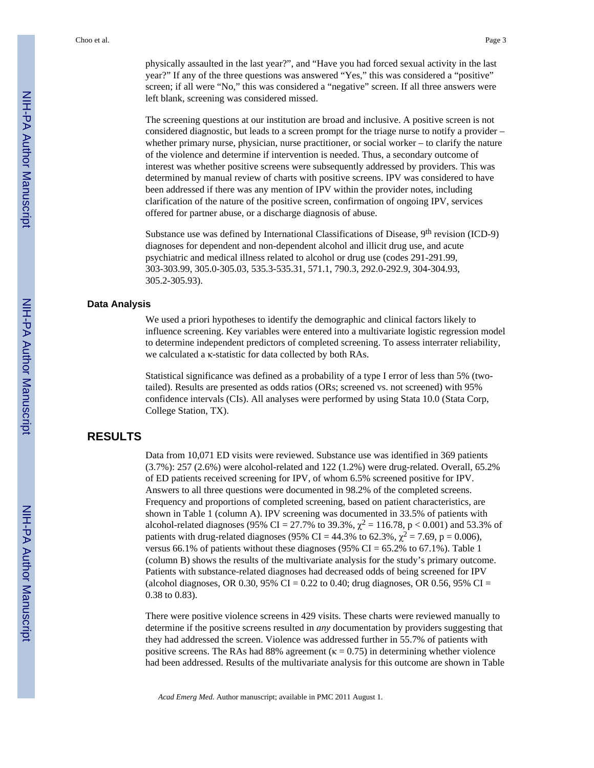physically assaulted in the last year?", and "Have you had forced sexual activity in the last year?" If any of the three questions was answered "Yes," this was considered a "positive" screen; if all were "No," this was considered a "negative" screen. If all three answers were left blank, screening was considered missed.

The screening questions at our institution are broad and inclusive. A positive screen is not considered diagnostic, but leads to a screen prompt for the triage nurse to notify a provider – whether primary nurse, physician, nurse practitioner, or social worker – to clarify the nature of the violence and determine if intervention is needed. Thus, a secondary outcome of interest was whether positive screens were subsequently addressed by providers. This was determined by manual review of charts with positive screens. IPV was considered to have been addressed if there was any mention of IPV within the provider notes, including clarification of the nature of the positive screen, confirmation of ongoing IPV, services offered for partner abuse, or a discharge diagnosis of abuse.

Substance use was defined by International Classifications of Disease, 9th revision (ICD-9) diagnoses for dependent and non-dependent alcohol and illicit drug use, and acute psychiatric and medical illness related to alcohol or drug use (codes 291-291.99, 303-303.99, 305.0-305.03, 535.3-535.31, 571.1, 790.3, 292.0-292.9, 304-304.93, 305.2-305.93).

#### **Data Analysis**

We used a priori hypotheses to identify the demographic and clinical factors likely to influence screening. Key variables were entered into a multivariate logistic regression model to determine independent predictors of completed screening. To assess interrater reliability, we calculated a κ-statistic for data collected by both RAs.

Statistical significance was defined as a probability of a type I error of less than 5% (twotailed). Results are presented as odds ratios (ORs; screened vs. not screened) with 95% confidence intervals (CIs). All analyses were performed by using Stata 10.0 (Stata Corp, College Station, TX).

# **RESULTS**

Data from 10,071 ED visits were reviewed. Substance use was identified in 369 patients (3.7%): 257 (2.6%) were alcohol-related and 122 (1.2%) were drug-related. Overall, 65.2% of ED patients received screening for IPV, of whom 6.5% screened positive for IPV. Answers to all three questions were documented in 98.2% of the completed screens. Frequency and proportions of completed screening, based on patient characteristics, are shown in Table 1 (column A). IPV screening was documented in 33.5% of patients with alcohol-related diagnoses (95% CI = 27.7% to 39.3%,  $\chi^2$  = 116.78, p < 0.001) and 53.3% of patients with drug-related diagnoses (95% CI = 44.3% to 62.3%,  $\chi^2$  = 7.69, p = 0.006), versus 66.1% of patients without these diagnoses (95% CI =  $65.2\%$  to 67.1%). Table 1 (column B) shows the results of the multivariate analysis for the study's primary outcome. Patients with substance-related diagnoses had decreased odds of being screened for IPV (alcohol diagnoses, OR 0.30, 95% CI = 0.22 to 0.40; drug diagnoses, OR 0.56, 95% CI = 0.38 to 0.83).

There were positive violence screens in 429 visits. These charts were reviewed manually to determine if the positive screens resulted in *any* documentation by providers suggesting that they had addressed the screen. Violence was addressed further in 55.7% of patients with positive screens. The RAs had 88% agreement ( $\kappa = 0.75$ ) in determining whether violence had been addressed. Results of the multivariate analysis for this outcome are shown in Table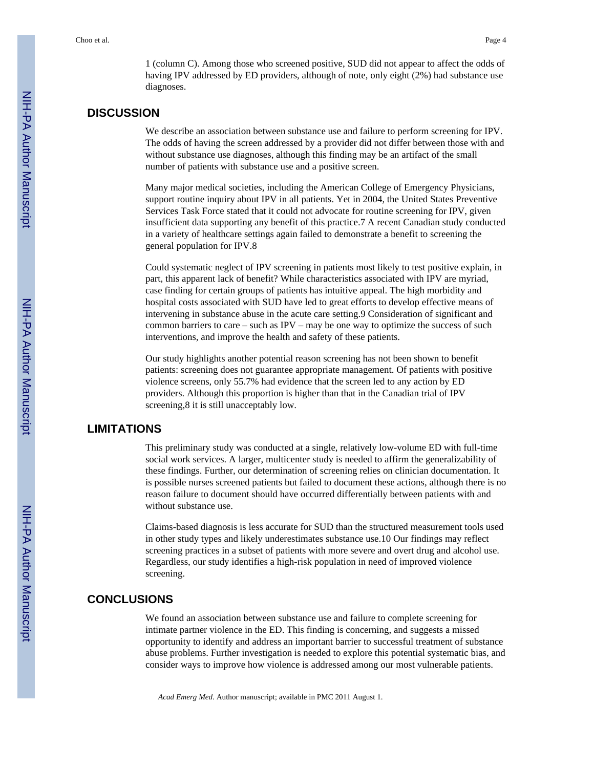1 (column C). Among those who screened positive, SUD did not appear to affect the odds of having IPV addressed by ED providers, although of note, only eight (2%) had substance use diagnoses.

### **DISCUSSION**

We describe an association between substance use and failure to perform screening for IPV. The odds of having the screen addressed by a provider did not differ between those with and without substance use diagnoses, although this finding may be an artifact of the small number of patients with substance use and a positive screen.

Many major medical societies, including the American College of Emergency Physicians, support routine inquiry about IPV in all patients. Yet in 2004, the United States Preventive Services Task Force stated that it could not advocate for routine screening for IPV, given insufficient data supporting any benefit of this practice.7 A recent Canadian study conducted in a variety of healthcare settings again failed to demonstrate a benefit to screening the general population for IPV.8

Could systematic neglect of IPV screening in patients most likely to test positive explain, in part, this apparent lack of benefit? While characteristics associated with IPV are myriad, case finding for certain groups of patients has intuitive appeal. The high morbidity and hospital costs associated with SUD have led to great efforts to develop effective means of intervening in substance abuse in the acute care setting.9 Consideration of significant and common barriers to care – such as IPV – may be one way to optimize the success of such interventions, and improve the health and safety of these patients.

Our study highlights another potential reason screening has not been shown to benefit patients: screening does not guarantee appropriate management. Of patients with positive violence screens, only 55.7% had evidence that the screen led to any action by ED providers. Although this proportion is higher than that in the Canadian trial of IPV screening,8 it is still unacceptably low.

# **LIMITATIONS**

This preliminary study was conducted at a single, relatively low-volume ED with full-time social work services. A larger, multicenter study is needed to affirm the generalizability of these findings. Further, our determination of screening relies on clinician documentation. It is possible nurses screened patients but failed to document these actions, although there is no reason failure to document should have occurred differentially between patients with and without substance use.

Claims-based diagnosis is less accurate for SUD than the structured measurement tools used in other study types and likely underestimates substance use.10 Our findings may reflect screening practices in a subset of patients with more severe and overt drug and alcohol use. Regardless, our study identifies a high-risk population in need of improved violence screening.

# **CONCLUSIONS**

We found an association between substance use and failure to complete screening for intimate partner violence in the ED. This finding is concerning, and suggests a missed opportunity to identify and address an important barrier to successful treatment of substance abuse problems. Further investigation is needed to explore this potential systematic bias, and consider ways to improve how violence is addressed among our most vulnerable patients.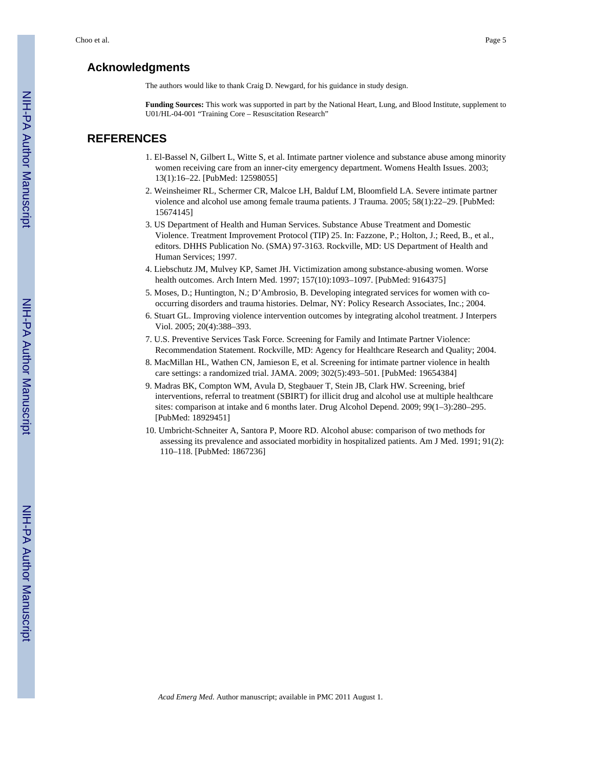# **Acknowledgments**

The authors would like to thank Craig D. Newgard, for his guidance in study design.

**Funding Sources:** This work was supported in part by the National Heart, Lung, and Blood Institute, supplement to U01/HL-04-001 "Training Core – Resuscitation Research"

# **REFERENCES**

- 1. El-Bassel N, Gilbert L, Witte S, et al. Intimate partner violence and substance abuse among minority women receiving care from an inner-city emergency department. Womens Health Issues. 2003; 13(1):16–22. [PubMed: 12598055]
- 2. Weinsheimer RL, Schermer CR, Malcoe LH, Balduf LM, Bloomfield LA. Severe intimate partner violence and alcohol use among female trauma patients. J Trauma. 2005; 58(1):22–29. [PubMed: 15674145]
- 3. US Department of Health and Human Services. Substance Abuse Treatment and Domestic Violence. Treatment Improvement Protocol (TIP) 25. In: Fazzone, P.; Holton, J.; Reed, B., et al., editors. DHHS Publication No. (SMA) 97-3163. Rockville, MD: US Department of Health and Human Services; 1997.
- 4. Liebschutz JM, Mulvey KP, Samet JH. Victimization among substance-abusing women. Worse health outcomes. Arch Intern Med. 1997; 157(10):1093–1097. [PubMed: 9164375]
- 5. Moses, D.; Huntington, N.; D'Ambrosio, B. Developing integrated services for women with cooccurring disorders and trauma histories. Delmar, NY: Policy Research Associates, Inc.; 2004.
- 6. Stuart GL. Improving violence intervention outcomes by integrating alcohol treatment. J Interpers Viol. 2005; 20(4):388–393.
- 7. U.S. Preventive Services Task Force. Screening for Family and Intimate Partner Violence: Recommendation Statement. Rockville, MD: Agency for Healthcare Research and Quality; 2004.
- 8. MacMillan HL, Wathen CN, Jamieson E, et al. Screening for intimate partner violence in health care settings: a randomized trial. JAMA. 2009; 302(5):493–501. [PubMed: 19654384]
- 9. Madras BK, Compton WM, Avula D, Stegbauer T, Stein JB, Clark HW. Screening, brief interventions, referral to treatment (SBIRT) for illicit drug and alcohol use at multiple healthcare sites: comparison at intake and 6 months later. Drug Alcohol Depend. 2009; 99(1–3):280–295. [PubMed: 18929451]
- 10. Umbricht-Schneiter A, Santora P, Moore RD. Alcohol abuse: comparison of two methods for assessing its prevalence and associated morbidity in hospitalized patients. Am J Med. 1991; 91(2): 110–118. [PubMed: 1867236]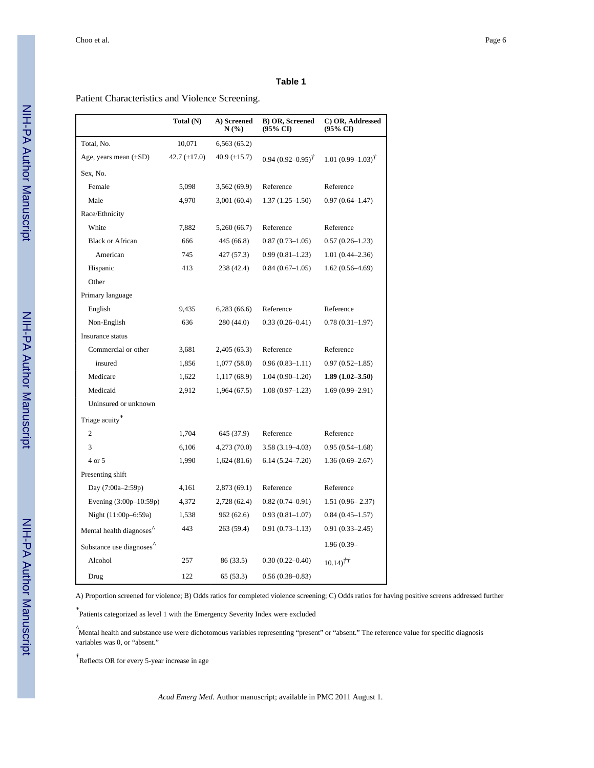#### **Table 1**

Patient Characteristics and Violence Screening.

|                            | Total (N)         | A) Screened<br>N(%) | <b>B) OR, Screened</b><br>(95% CI) | C) OR, Addressed<br>(95% CI)  |
|----------------------------|-------------------|---------------------|------------------------------------|-------------------------------|
| Total, No.                 | 10,071            | 6,563(65.2)         |                                    |                               |
| Age, years mean $(\pm SD)$ | 42.7 $(\pm 17.0)$ | 40.9 $(\pm 15.7)$   | $0.94(0.92 - 0.95)^{\dagger}$      | $1.01(0.99 - 1.03)^{\dagger}$ |
| Sex, No.                   |                   |                     |                                    |                               |
| Female                     | 5,098             | 3,562(69.9)         | Reference                          | Reference                     |
| Male                       | 4,970             | 3,001(60.4)         | $1.37(1.25 - 1.50)$                | $0.97(0.64 - 1.47)$           |
| Race/Ethnicity             |                   |                     |                                    |                               |
| White                      | 7,882             | 5,260(66.7)         | Reference                          | Reference                     |
| <b>Black or African</b>    | 666               | 445 (66.8)          | $0.87(0.73 - 1.05)$                | $0.57(0.26 - 1.23)$           |
| American                   | 745               | 427(57.3)           | $0.99(0.81 - 1.23)$                | $1.01(0.44 - 2.36)$           |
| Hispanic                   | 413               | 238 (42.4)          | $0.84(0.67-1.05)$                  | $1.62(0.56-4.69)$             |
| Other                      |                   |                     |                                    |                               |
| Primary language           |                   |                     |                                    |                               |
| English                    | 9.435             | 6,283 (66.6)        | Reference                          | Reference                     |
| Non-English                | 636               | 280 (44.0)          | $0.33(0.26 - 0.41)$                | $0.78(0.31-1.97)$             |
| Insurance status           |                   |                     |                                    |                               |
| Commercial or other        | 3,681             | 2,405(65.3)         | Reference                          | Reference                     |
| insured                    | 1,856             | 1,077(58.0)         | $0.96(0.83 - 1.11)$                | $0.97(0.52 - 1.85)$           |
| Medicare                   | 1,622             | 1,117 (68.9)        | $1.04(0.90 - 1.20)$                | $1.89(1.02 - 3.50)$           |
| Medicaid                   | 2,912             | 1,964 (67.5)        | $1.08(0.97-1.23)$                  | $1.69(0.99 - 2.91)$           |
| Uninsured or unknown       |                   |                     |                                    |                               |
| Triage acuity*             |                   |                     |                                    |                               |
| 2                          | 1,704             | 645 (37.9)          | Reference                          | Reference                     |
| 3                          | 6,106             | 4,273 (70.0)        | $3.58(3.19 - 4.03)$                | $0.95(0.54 - 1.68)$           |
| 4 or 5                     | 1,990             | 1,624(81.6)         | $6.14(5.24 - 7.20)$                | $1.36(0.69 - 2.67)$           |
| Presenting shift           |                   |                     |                                    |                               |
| Day (7:00a-2:59p)          | 4,161             | 2,873(69.1)         | Reference                          | Reference                     |
| Evening (3:00p-10:59p)     | 4,372             | 2,728 (62.4)        | $0.82(0.74 - 0.91)$                | $1.51(0.96 - 2.37)$           |
| Night (11:00p-6:59a)       | 1,538             | 962(62.6)           | $0.93(0.81 - 1.07)$                | $0.84(0.45 - 1.57)$           |
| Mental health diagnoses    | 443               | 263 (59.4)          | $0.91(0.73 - 1.13)$                | $0.91(0.33 - 2.45)$           |
| Substance use diagnoses    |                   |                     |                                    | $1.96(0.39 -$                 |
| Alcohol                    | 257               | 86 (33.5)           | $0.30(0.22 - 0.40)$                | $10.14$ $^{\dagger \dagger}$  |
| Drug                       | 122               | 65 (53.3)           | $0.56(0.38 - 0.83)$                |                               |

A) Proportion screened for violence; B) Odds ratios for completed violence screening; C) Odds ratios for having positive screens addressed further

*\** Patients categorized as level 1 with the Emergency Severity Index were excluded

*^*Mental health and substance use were dichotomous variables representing "present" or "absent." The reference value for specific diagnosis variables was 0, or "absent."

*†* Reflects OR for every 5-year increase in age